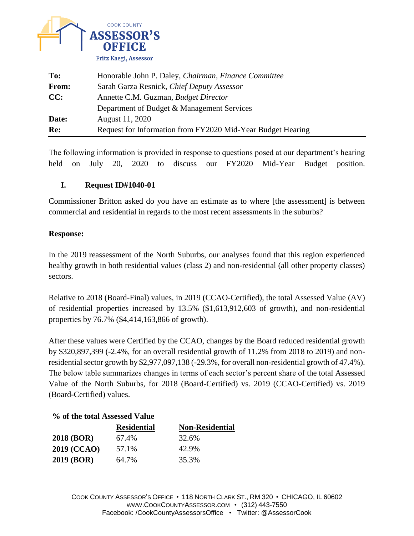

| To:   | Honorable John P. Daley, Chairman, Finance Committee        |  |
|-------|-------------------------------------------------------------|--|
| From: | Sarah Garza Resnick, Chief Deputy Assessor                  |  |
| CC:   | Annette C.M. Guzman, <i>Budget Director</i>                 |  |
|       | Department of Budget & Management Services                  |  |
| Date: | August 11, 2020                                             |  |
| Re:   | Request for Information from FY2020 Mid-Year Budget Hearing |  |

The following information is provided in response to questions posed at our department's hearing held on July 20, 2020 to discuss our FY2020 Mid-Year Budget position.

## **I. Request ID#1040-01**

Commissioner Britton asked do you have an estimate as to where [the assessment] is between commercial and residential in regards to the most recent assessments in the suburbs?

## **Response:**

In the 2019 reassessment of the North Suburbs, our analyses found that this region experienced healthy growth in both residential values (class 2) and non-residential (all other property classes) sectors.

Relative to 2018 (Board-Final) values, in 2019 (CCAO-Certified), the total Assessed Value (AV) of residential properties increased by 13.5% (\$1,613,912,603 of growth), and non-residential properties by 76.7% (\$4,414,163,866 of growth).

After these values were Certified by the CCAO, changes by the Board reduced residential growth by \$320,897,399 (-2.4%, for an overall residential growth of 11.2% from 2018 to 2019) and nonresidential sector growth by \$2,977,097,138 (-29.3%, for overall non-residential growth of 47.4%). The below table summarizes changes in terms of each sector's percent share of the total Assessed Value of the North Suburbs, for 2018 (Board-Certified) vs. 2019 (CCAO-Certified) vs. 2019 (Board-Certified) values.

## **% of the total Assessed Value**

|                    | <b>Residential</b> | <b>Non-Residential</b> |
|--------------------|--------------------|------------------------|
| <b>2018 (BOR)</b>  | 67.4%              | 32.6%                  |
| <b>2019 (CCAO)</b> | 57.1%              | 42.9%                  |
| 2019 (BOR)         | 64.7%              | 35.3%                  |